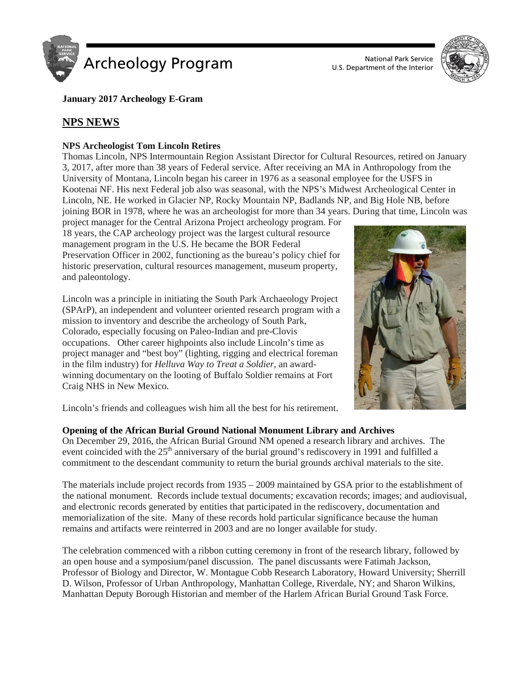

U.S. Department of the Interior



**January 2017 Archeology E-Gram**

# **NPS NEWS**

# **NPS Archeologist Tom Lincoln Retires**

Thomas Lincoln, NPS Intermountain Region Assistant Director for Cultural Resources, retired on January 3, 2017, after more than 38 years of Federal service. After receiving an MA in Anthropology from the University of Montana, Lincoln began his career in 1976 as a seasonal employee for the USFS in Kootenai NF. His next Federal job also was seasonal, with the NPS's Midwest Archeological Center in Lincoln, NE. He worked in Glacier NP, Rocky Mountain NP, Badlands NP, and Big Hole NB, before joining BOR in 1978, where he was an archeologist for more than 34 years. During that time, Lincoln was

project manager for the Central Arizona Project archeology program. For 18 years, the CAP archeology project was the largest cultural resource management program in the U.S. He became the BOR Federal Preservation Officer in 2002, functioning as the bureau's policy chief for historic preservation, cultural resources management, museum property, and paleontology.

Lincoln was a principle in initiating the South Park Archaeology Project (SPArP), an independent and volunteer oriented research program with a mission to inventory and describe the archeology of South Park, Colorado, especially focusing on Paleo-Indian and pre-Clovis occupations. Other career highpoints also include Lincoln's time as project manager and "best boy" (lighting, rigging and electrical foreman in the film industry) for *Helluva Way to Treat a Soldier*, an awardwinning documentary on the looting of Buffalo Soldier remains at Fort Craig NHS in New Mexico.



Lincoln's friends and colleagues wish him all the best for his retirement.

# **Opening of the African Burial Ground National Monument Library and Archives**

On December 29, 2016, the African Burial Ground NM opened a research library and archives. The event coincided with the  $25<sup>th</sup>$  anniversary of the burial ground's rediscovery in 1991 and fulfilled a commitment to the descendant community to return the burial grounds archival materials to the site.

The materials include project records from 1935 – 2009 maintained by GSA prior to the establishment of the national monument. Records include textual documents; excavation records; images; and audiovisual, and electronic records generated by entities that participated in the rediscovery, documentation and memorialization of the site. Many of these records hold particular significance because the human remains and artifacts were reinterred in 2003 and are no longer available for study.

The celebration commenced with a ribbon cutting ceremony in front of the research library, followed by an open house and a symposium/panel discussion. The panel discussants were Fatimah Jackson, Professor of Biology and Director, W. Montague Cobb Research Laboratory, Howard University; Sherrill D. Wilson, Professor of Urban Anthropology, Manhattan College, Riverdale, NY; and Sharon Wilkins, Manhattan Deputy Borough Historian and member of the Harlem African Burial Ground Task Force.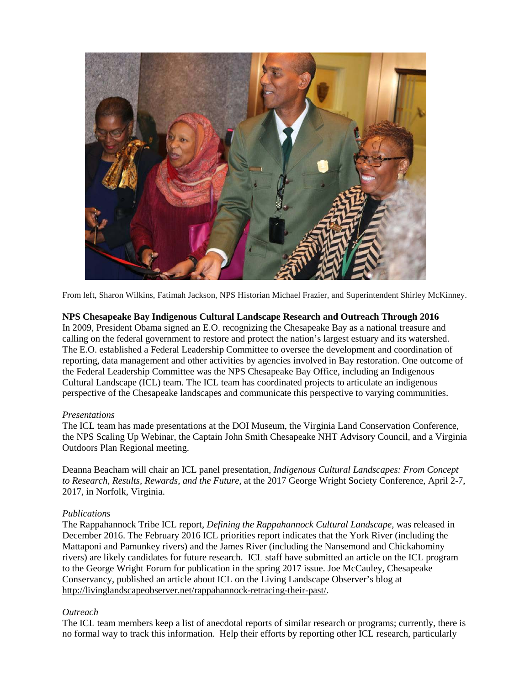

From left, Sharon Wilkins, Fatimah Jackson, NPS Historian Michael Frazier, and Superintendent Shirley McKinney.

# **NPS Chesapeake Bay Indigenous Cultural Landscape Research and Outreach Through 2016**

In 2009, President Obama signed an E.O. recognizing the Chesapeake Bay as a national treasure and calling on the federal government to restore and protect the nation's largest estuary and its watershed. The E.O. established a Federal Leadership Committee to oversee the development and coordination of reporting, data management and other activities by agencies involved in Bay restoration. One outcome of the Federal Leadership Committee was the NPS Chesapeake Bay Office, including an Indigenous Cultural Landscape (ICL) team. The ICL team has coordinated projects to articulate an indigenous perspective of the Chesapeake landscapes and communicate this perspective to varying communities.

# *Presentations*

The ICL team has made presentations at the DOI Museum, the Virginia Land Conservation Conference, the NPS Scaling Up Webinar, the Captain John Smith Chesapeake NHT Advisory Council, and a Virginia Outdoors Plan Regional meeting.

Deanna Beacham will chair an ICL panel presentation, *Indigenous Cultural Landscapes: From Concept to Research, Results, Rewards, and the Future*, at the 2017 George Wright Society Conference, April 2-7, 2017, in Norfolk, Virginia.

# *Publications*

The Rappahannock Tribe ICL report, *Defining the Rappahannock Cultural Landscape,* was released in December 2016. The February 2016 ICL priorities report indicates that the York River (including the Mattaponi and Pamunkey rivers) and the James River (including the Nansemond and Chickahominy rivers) are likely candidates for future research. ICL staff have submitted an article on the ICL program to the George Wright Forum for publication in the spring 2017 issue. Joe McCauley, Chesapeake Conservancy, published an article about ICL on the Living Landscape Observer's blog at [http://livinglandscapeobserver.net/rappahannock-retracing-their-past/.](http://livinglandscapeobserver.net/rappahannock-retracing-their-past/)

# *Outreach*

The ICL team members keep a list of anecdotal reports of similar research or programs; currently, there is no formal way to track this information. Help their efforts by reporting other ICL research, particularly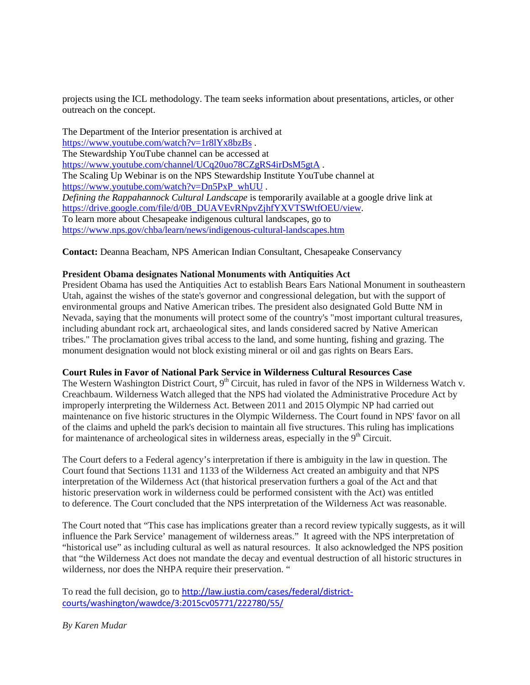projects using the ICL methodology. The team seeks information about presentations, articles, or other outreach on the concept.

The Department of the Interior presentation is archived at <https://www.youtube.com/watch?v=1r8lYx8bzBs>. The Stewardship YouTube channel can be accessed at <https://www.youtube.com/channel/UCq20uo78CZgRS4irDsM5gtA> . The Scaling Up Webinar is on the NPS Stewardship Institute YouTube channel at [https://www.youtube.com/watch?v=Dn5PxP\\_whUU](https://www.youtube.com/watch?v=Dn5PxP_whUU) . *Defining the Rappahannock Cultural Landscape* is temporarily available at a google drive link at [https://drive.google.com/file/d/0B\\_DUAVEvRNpvZjhfYXVTSWtfOEU/view.](https://drive.google.com/file/d/0B_DUAVEvRNpvZjhfYXVTSWtfOEU/view) To learn more about Chesapeake indigenous cultural landscapes, go to <https://www.nps.gov/chba/learn/news/indigenous-cultural-landscapes.htm>

**Contact:** Deanna Beacham, NPS American Indian Consultant, Chesapeake Conservancy

#### **President Obama designates National Monuments with Antiquities Act**

President Obama has used the Antiquities Act to establish Bears Ears National Monument in southeastern Utah, against the wishes of the state's governor and congressional delegation, but with the support of environmental groups and Native American tribes. The president also designated Gold Butte NM in Nevada, saying that the monuments will protect some of the country's "most important cultural treasures, including abundant rock art, archaeological sites, and lands considered sacred by Native American tribes." The proclamation gives tribal access to the land, and some hunting, fishing and grazing. The monument designation would not block existing mineral or oil and gas rights on Bears Ears.

# **Court Rules in Favor of National Park Service in Wilderness Cultural Resources Case**

The Western Washington District Court, 9<sup>th</sup> Circuit, has ruled in favor of the NPS in Wilderness Watch v. Creachbaum. Wilderness Watch alleged that the NPS had violated the Administrative Procedure Act by improperly interpreting the Wilderness Act. Between 2011 and 2015 Olympic NP had carried out maintenance on five historic structures in the Olympic Wilderness. The Court found in NPS' favor on all of the claims and upheld the park's decision to maintain all five structures. This ruling has implications for maintenance of archeological sites in wilderness areas, especially in the  $9<sup>th</sup>$  Circuit.

The Court defers to a Federal agency's interpretation if there is ambiguity in the law in question. The Court found that Sections 1131 and 1133 of the Wilderness Act created an ambiguity and that NPS interpretation of the Wilderness Act (that historical preservation furthers a goal of the Act and that historic preservation work in wilderness could be performed consistent with the Act) was entitled to deference. The Court concluded that the NPS interpretation of the Wilderness Act was reasonable.

The Court noted that "This case has implications greater than a record review typically suggests, as it will influence the Park Service' management of wilderness areas." It agreed with the NPS interpretation of "historical use" as including cultural as well as natural resources. It also acknowledged the NPS position that "the Wilderness Act does not mandate the decay and eventual destruction of all historic structures in wilderness, nor does the NHPA require their preservation. "

To read the full decision, go to [http://law.justia.com/cases/federal/district](http://law.justia.com/cases/federal/district-courts/washington/wawdce/3:2015cv05771/222780/55/)[courts/washington/wawdce/3:2015cv05771/222780/55/](http://law.justia.com/cases/federal/district-courts/washington/wawdce/3:2015cv05771/222780/55/)

*By Karen Mudar*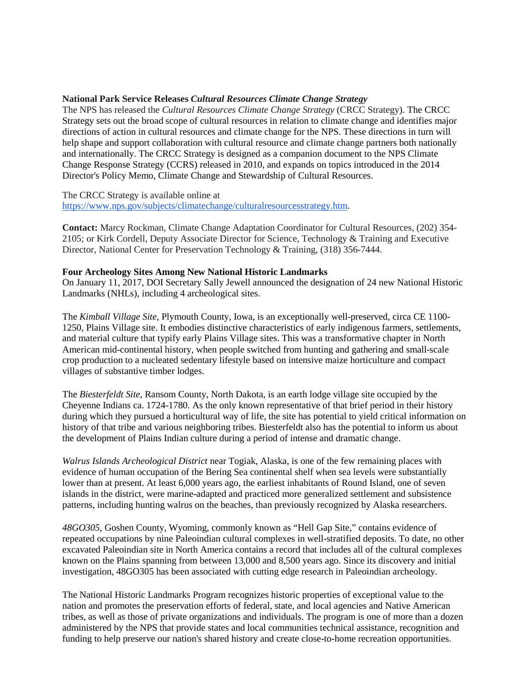# **National Park Service Releases** *Cultural Resources Climate Change Strategy*

The NPS has released the *Cultural Resources Climate Change Strategy* (CRCC Strategy). The CRCC Strategy sets out the broad scope of cultural resources in relation to climate change and identifies major directions of action in cultural resources and climate change for the NPS. These directions in turn will help shape and support collaboration with cultural resource and climate change partners both nationally and internationally. The CRCC Strategy is designed as a companion document to the NPS Climate Change Response Strategy (CCRS) released in 2010, and expands on topics introduced in the 2014 Director's Policy Memo, Climate Change and Stewardship of Cultural Resources.

The CRCC Strategy is available online at [https://www.nps.gov/subjects/climatechange/culturalresourcesstrategy.htm.](https://www.nps.gov/subjects/climatechange/culturalresourcesstrategy.htm)

**Contact:** Marcy Rockman, Climate Change Adaptation Coordinator for Cultural Resources, (202) 354- 2105; or Kirk Cordell, Deputy Associate Director for Science, Technology & Training and Executive Director, National Center for Preservation Technology & Training, (318) 356-7444.

#### **Four Archeology Sites Among New National Historic Landmarks**

On January 11, 2017, DOI Secretary Sally Jewell announced the designation of 24 new National Historic Landmarks (NHLs), including 4 archeological sites.

The *Kimball Village Site*, Plymouth County, Iowa, is an exceptionally well-preserved, circa CE 1100- 1250, Plains Village site. It embodies distinctive characteristics of early indigenous farmers, settlements, and material culture that typify early Plains Village sites. This was a transformative chapter in North American mid-continental history, when people switched from hunting and gathering and small-scale crop production to a nucleated sedentary lifestyle based on intensive maize horticulture and compact villages of substantive timber lodges.

The *Biesterfeldt Site*, Ransom County, North Dakota, is an earth lodge village site occupied by the Cheyenne Indians ca. 1724-1780. As the only known representative of that brief period in their history during which they pursued a horticultural way of life, the site has potential to yield critical information on history of that tribe and various neighboring tribes. Biesterfeldt also has the potential to inform us about the development of Plains Indian culture during a period of intense and dramatic change.

*Walrus Islands Archeological District* near Togiak, Alaska, is one of the few remaining places with evidence of human occupation of the Bering Sea continental shelf when sea levels were substantially lower than at present. At least 6,000 years ago, the earliest inhabitants of Round Island, one of seven islands in the district, were marine-adapted and practiced more generalized settlement and subsistence patterns, including hunting walrus on the beaches, than previously recognized by Alaska researchers.

*48GO305*, Goshen County, Wyoming, commonly known as "Hell Gap Site," contains evidence of repeated occupations by nine Paleoindian cultural complexes in well-stratified deposits. To date, no other excavated Paleoindian site in North America contains a record that includes all of the cultural complexes known on the Plains spanning from between 13,000 and 8,500 years ago. Since its discovery and initial investigation, 48GO305 has been associated with cutting edge research in Paleoindian archeology.

The National Historic Landmarks Program recognizes historic properties of exceptional value to the nation and promotes the preservation efforts of federal, state, and local agencies and Native American tribes, as well as those of private organizations and individuals. The program is one of more than a dozen administered by the NPS that provide states and local communities technical assistance, recognition and funding to help preserve our nation's shared history and create close-to-home recreation opportunities.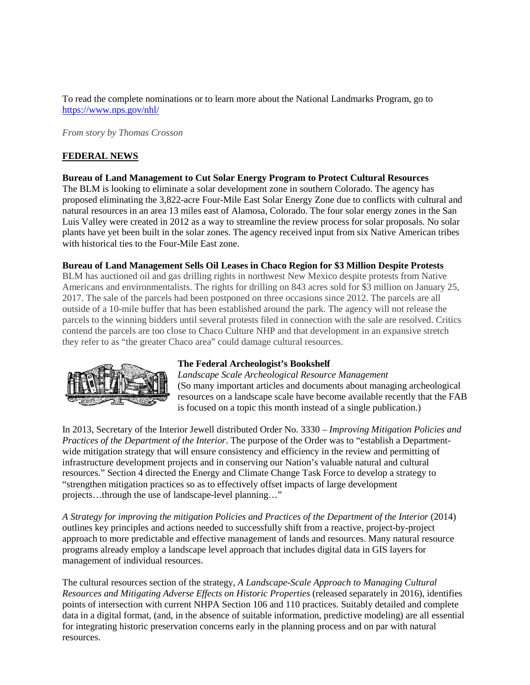To read the complete nominations or to learn more about the National Landmarks Program, go to <https://www.nps.gov/nhl/>

*From story by Thomas Crosson*

# **FEDERAL NEWS**

### **Bureau of Land Management to Cut Solar Energy Program to Protect Cultural Resources**

The BLM is looking to eliminate a solar development zone in southern Colorado. The agency has proposed eliminating the 3,822-acre Four-Mile East Solar Energy Zone due to conflicts with cultural and natural resources in an area 13 miles east of Alamosa, Colorado. The four solar energy zones in the San Luis Valley were created in 2012 as a way to streamline the review process for solar proposals. No solar plants have yet been built in the solar zones. The agency received input from six Native American tribes with historical ties to the Four-Mile East zone.

### **Bureau of Land Management Sells Oil Leases in Chaco Region for \$3 Million Despite Protests**

BLM has auctioned oil and gas drilling rights in northwest New Mexico despite protests from Native Americans and environmentalists. The rights for drilling on 843 acres sold for \$3 million on January 25, 2017. The sale of the parcels had been postponed on three occasions since 2012. The parcels are all outside of a 10-mile buffer that has been established around the park. The agency will not release the parcels to the winning bidders until several protests filed in connection with the sale are resolved. Critics contend the parcels are too close to Chaco Culture NHP and that development in an expansive stretch they refer to as "the greater Chaco area" could damage cultural resources.



#### **The Federal Archeologist's Bookshelf**

*Landscape Scale Archeological Resource Management* (So many important articles and documents about managing archeological resources on a landscape scale have become available recently that the FAB is focused on a topic this month instead of a single publication.)

In 2013, Secretary of the Interior Jewell distributed Order No. 3330 – *Improving Mitigation Policies and Practices of the Department of the Interior*. The purpose of the Order was to "establish a Departmentwide mitigation strategy that will ensure consistency and efficiency in the review and permitting of infrastructure development projects and in conserving our Nation's valuable natural and cultural resources." Section 4 directed the Energy and Climate Change Task Force to develop a strategy to "strengthen mitigation practices so as to effectively offset impacts of large development projects…through the use of landscape-level planning…"

*A Strategy for improving the mitigation Policies and Practices of the Department of the Interior* (2014) outlines key principles and actions needed to successfully shift from a reactive, project-by-project approach to more predictable and effective management of lands and resources. Many natural resource programs already employ a landscape level approach that includes digital data in GIS layers for management of individual resources.

The cultural resources section of the strategy, *A Landscape-Scale Approach to Managing Cultural Resources and Mitigating Adverse Effects on Historic Properties* (released separately in 2016), identifies points of intersection with current NHPA Section 106 and 110 practices. Suitably detailed and complete data in a digital format, (and, in the absence of suitable information, predictive modeling) are all essential for integrating historic preservation concerns early in the planning process and on par with natural resources.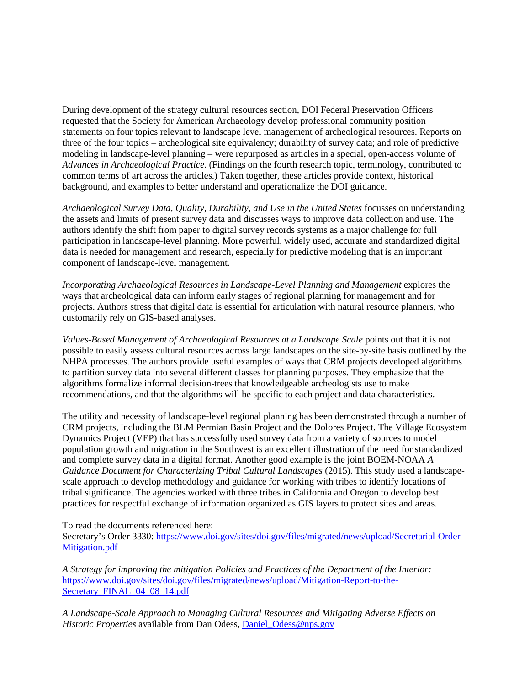During development of the strategy cultural resources section, DOI Federal Preservation Officers requested that the Society for American Archaeology develop professional community position statements on four topics relevant to landscape level management of archeological resources. Reports on three of the four topics – archeological site equivalency; durability of survey data; and role of predictive modeling in landscape-level planning – were repurposed as articles in a special, open-access volume of *Advances in Archaeological Practice.* (Findings on the fourth research topic, terminology, contributed to common terms of art across the articles.) Taken together, these articles provide context, historical background, and examples to better understand and operationalize the DOI guidance.

*Archaeological Survey Data, Quality, Durability, and Use in the United States* focusses on understanding the assets and limits of present survey data and discusses ways to improve data collection and use. The authors identify the shift from paper to digital survey records systems as a major challenge for full participation in landscape-level planning. More powerful, widely used, accurate and standardized digital data is needed for management and research, especially for predictive modeling that is an important component of landscape-level management.

*Incorporating Archaeological Resources in Landscape-Level Planning and Management* explores the ways that archeological data can inform early stages of regional planning for management and for projects. Authors stress that digital data is essential for articulation with natural resource planners, who customarily rely on GIS-based analyses.

*Values-Based Management of Archaeological Resources at a Landscape Scale* points out that it is not possible to easily assess cultural resources across large landscapes on the site-by-site basis outlined by the NHPA processes. The authors provide useful examples of ways that CRM projects developed algorithms to partition survey data into several different classes for planning purposes. They emphasize that the algorithms formalize informal decision-trees that knowledgeable archeologists use to make recommendations, and that the algorithms will be specific to each project and data characteristics.

The utility and necessity of landscape-level regional planning has been demonstrated through a number of CRM projects, including the BLM Permian Basin Project and the Dolores Project. The Village Ecosystem Dynamics Project (VEP) that has successfully used survey data from a variety of sources to model population growth and migration in the Southwest is an excellent illustration of the need for standardized and complete survey data in a digital format. Another good example is the joint BOEM-NOAA *A Guidance Document for Characterizing Tribal Cultural Landscapes* (2015). This study used a landscapescale approach to develop methodology and guidance for working with tribes to identify locations of tribal significance. The agencies worked with three tribes in California and Oregon to develop best practices for respectful exchange of information organized as GIS layers to protect sites and areas.

To read the documents referenced here:

Secretary's Order 3330: [https://www.doi.gov/sites/doi.gov/files/migrated/news/upload/Secretarial-Order-](https://www.doi.gov/sites/doi.gov/files/migrated/news/upload/Secretarial-Order-Mitigation.pdf)[Mitigation.pdf](https://www.doi.gov/sites/doi.gov/files/migrated/news/upload/Secretarial-Order-Mitigation.pdf)

*A Strategy for improving the mitigation Policies and Practices of the Department of the Interior:*  [https://www.doi.gov/sites/doi.gov/files/migrated/news/upload/Mitigation-Report-to-the-](https://www.doi.gov/sites/doi.gov/files/migrated/news/upload/Mitigation-Report-to-the-Secretary_FINAL_04_08_14.pdf)Secretary FINAL 04 08 14.pdf

*A Landscape-Scale Approach to Managing Cultural Resources and Mitigating Adverse Effects on Historic Properties* available from Dan Odess, Daniel Odess@nps.gov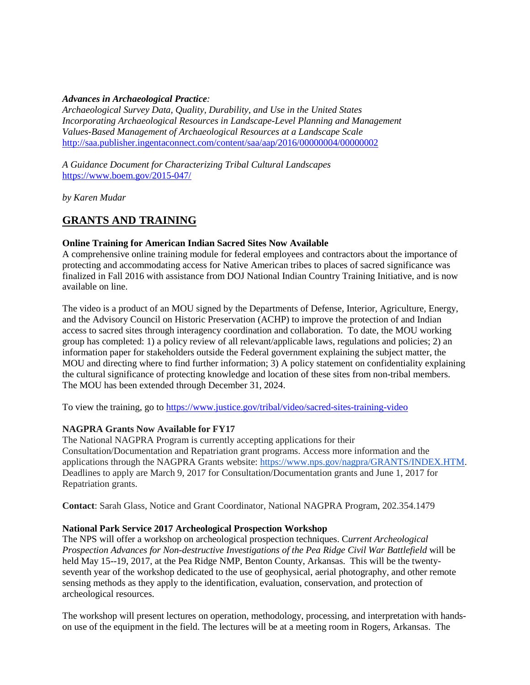# *Advances in Archaeological Practice:*

*Archaeological Survey Data, Quality, Durability, and Use in the United States Incorporating Archaeological Resources in Landscape-Level Planning and Management Values-Based Management of Archaeological Resources at a Landscape Scale* <http://saa.publisher.ingentaconnect.com/content/saa/aap/2016/00000004/00000002>

*A Guidance Document for Characterizing Tribal Cultural Landscapes* <https://www.boem.gov/2015-047/>

*by Karen Mudar*

# **GRANTS AND TRAINING**

# **Online Training for American Indian Sacred Sites Now Available**

A comprehensive online training module for federal employees and contractors about the importance of protecting and accommodating access for Native American tribes to places of sacred significance was finalized in Fall 2016 with assistance from DOJ National Indian Country Training Initiative, and is now available on line.

The video is a product of an MOU signed by the Departments of Defense, Interior, Agriculture, Energy, and the Advisory Council on Historic Preservation (ACHP) to improve the protection of and Indian access to sacred sites through interagency coordination and collaboration. To date, the MOU working group has completed: 1) a policy review of all relevant/applicable laws, regulations and policies; 2) an information paper for stakeholders outside the Federal government explaining the subject matter, the MOU and directing where to find further information; 3) A policy statement on confidentiality explaining the cultural significance of protecting knowledge and location of these sites from non-tribal members. The MOU has been extended through December 31, 2024.

To view the training, go to<https://www.justice.gov/tribal/video/sacred-sites-training-video>

# **NAGPRA Grants Now Available for FY17**

The National NAGPRA Program is currently accepting applications for their Consultation/Documentation and Repatriation grant programs. Access more information and the applications through the NAGPRA Grants website: [https://www.nps.gov/nagpra/GRANTS/INDEX.HTM.](https://www.nps.gov/nagpra/GRANTS/INDEX.HTM) Deadlines to apply are March 9, 2017 for Consultation/Documentation grants and June 1, 2017 for Repatriation grants.

**Contact**: Sarah Glass, Notice and Grant Coordinator, National NAGPRA Program, 202.354.1479

# **National Park Service 2017 Archeological Prospection Workshop**

The NPS will offer a workshop on archeological prospection techniques. C*urrent Archeological Prospection Advances for Non-destructive Investigations of the Pea Ridge Civil War Battlefield* will be held May 15--19, 2017, at the Pea Ridge NMP, Benton County, Arkansas. This will be the twentyseventh year of the workshop dedicated to the use of geophysical, aerial photography, and other remote sensing methods as they apply to the identification, evaluation, conservation, and protection of archeological resources.

The workshop will present lectures on operation, methodology, processing, and interpretation with handson use of the equipment in the field. The lectures will be at a meeting room in Rogers, Arkansas. The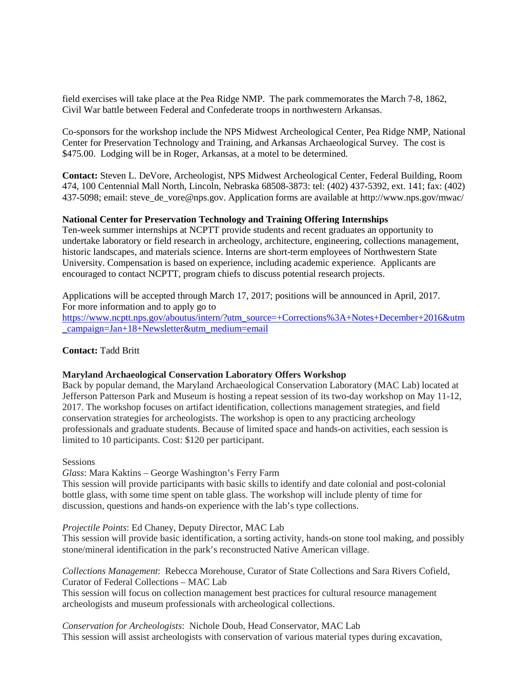field exercises will take place at the Pea Ridge NMP. The park commemorates the March 7-8, 1862, Civil War battle between Federal and Confederate troops in northwestern Arkansas.

Co-sponsors for the workshop include the NPS Midwest Archeological Center, Pea Ridge NMP, National Center for Preservation Technology and Training, and Arkansas Archaeological Survey. The cost is \$475.00. Lodging will be in Roger, Arkansas, at a motel to be determined.

**Contact:** Steven L. DeVore, Archeologist, NPS Midwest Archeological Center, Federal Building, Room 474, 100 Centennial Mall North, Lincoln, Nebraska 68508-3873: tel: (402) 437-5392, ext. 141; fax: (402) 437-5098; email: steve\_de\_vore@nps.gov. Application forms are available at http://www.nps.gov/mwac/

### **National Center for Preservation Technology and Training Offering Internships**

Ten-week summer internships at NCPTT provide students and recent graduates an opportunity to undertake laboratory or field research in archeology, architecture, engineering, collections management, historic landscapes, and materials science. Interns are short-term employees of Northwestern State University. Compensation is based on experience, including academic experience. Applicants are encouraged to contact NCPTT, program chiefs to discuss potential research projects.

Applications will be accepted through March 17, 2017; positions will be announced in April, 2017. For more information and to apply go to [https://www.ncptt.nps.gov/aboutus/intern/?utm\\_source=+Corrections%3A+Notes+December+2016&utm](https://www.ncptt.nps.gov/aboutus/intern/?utm_source=+Corrections%3A+Notes+December+2016&utm_campaign=Jan+18+Newsletter&utm_medium=email) [\\_campaign=Jan+18+Newsletter&utm\\_medium=email](https://www.ncptt.nps.gov/aboutus/intern/?utm_source=+Corrections%3A+Notes+December+2016&utm_campaign=Jan+18+Newsletter&utm_medium=email)

#### **Contact:** Tadd Britt

#### **Maryland Archaeological Conservation Laboratory Offers Workshop**

Back by popular demand, the Maryland Archaeological Conservation Laboratory (MAC Lab) located at Jefferson Patterson Park and Museum is hosting a repeat session of its two-day workshop on May 11-12, 2017. The workshop focuses on artifact identification, collections management strategies, and field conservation strategies for archeologists. The workshop is open to any practicing archeology professionals and graduate students. Because of limited space and hands-on activities, each session is limited to 10 participants. Cost: \$120 per participant.

# **Sessions**

*Glass*: Mara Kaktins – George Washington's Ferry Farm

This session will provide participants with basic skills to identify and date colonial and post-colonial bottle glass, with some time spent on table glass. The workshop will include plenty of time for discussion, questions and hands-on experience with the lab's type collections.

#### *Projectile Points*: Ed Chaney, Deputy Director, MAC Lab

This session will provide basic identification, a sorting activity, hands-on stone tool making, and possibly stone/mineral identification in the park's reconstructed Native American village.

*Collections Management*: Rebecca Morehouse, Curator of State Collections and Sara Rivers Cofield, Curator of Federal Collections – MAC Lab

This session will focus on collection management best practices for cultural resource management archeologists and museum professionals with archeological collections.

*Conservation for Archeologists*: Nichole Doub, Head Conservator, MAC Lab This session will assist archeologists with conservation of various material types during excavation,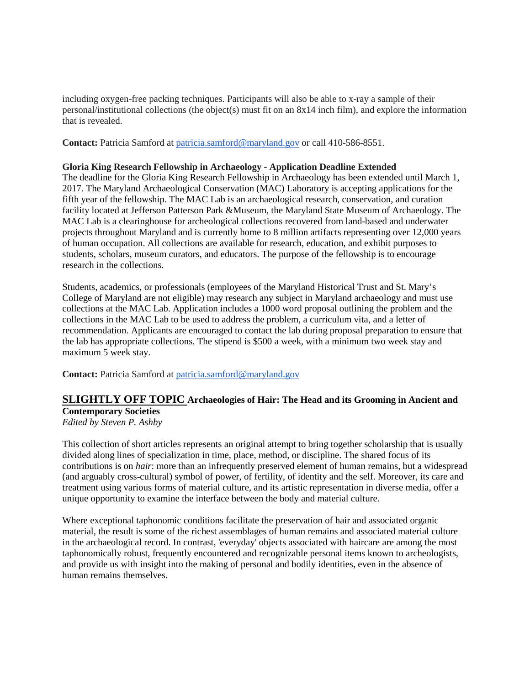including oxygen-free packing techniques. Participants will also be able to x-ray a sample of their personal/institutional collections (the object(s) must fit on an 8x14 inch film), and explore the information that is revealed.

**Contact:** Patricia Samford at [patricia.samford@maryland.gov](mailto:patricia.samford@maryland.gov) or call 410-586-8551.

## **Gloria King Research Fellowship in Archaeology - Application Deadline Extended**

The deadline for the Gloria King Research Fellowship in Archaeology has been extended until March 1, 2017. The Maryland Archaeological Conservation (MAC) Laboratory is accepting applications for the fifth year of the fellowship. The MAC Lab is an archaeological research, conservation, and curation facility located at Jefferson Patterson Park &Museum, the Maryland State Museum of Archaeology. The MAC Lab is a clearinghouse for archeological collections recovered from land-based and underwater projects throughout Maryland and is currently home to 8 million artifacts representing over 12,000 years of human occupation. All collections are available for research, education, and exhibit purposes to students, scholars, museum curators, and educators. The purpose of the fellowship is to encourage research in the collections.

Students, academics, or professionals (employees of the Maryland Historical Trust and St. Mary's College of Maryland are not eligible) may research any subject in Maryland archaeology and must use collections at the MAC Lab. Application includes a 1000 word proposal outlining the problem and the collections in the MAC Lab to be used to address the problem, a curriculum vita, and a letter of recommendation. Applicants are encouraged to contact the lab during proposal preparation to ensure that the lab has appropriate collections. The stipend is \$500 a week, with a minimum two week stay and maximum 5 week stay.

**Contact:** Patricia Samford at [patricia.samford@maryland.gov](mailto:patricia.samford@maryland.gov)

# **SLIGHTLY OFF TOPIC Archaeologies of Hair: The Head and its Grooming in Ancient and Contemporary Societies**

*Edited by Steven P. Ashby*

This collection of short articles represents an original attempt to bring together scholarship that is usually divided along lines of specialization in time, place, method, or discipline. The shared focus of its contributions is on *hair*: more than an infrequently preserved element of human remains, but a widespread (and arguably cross-cultural) symbol of power, of fertility, of identity and the self. Moreover, its care and treatment using various forms of material culture, and its artistic representation in diverse media, offer a unique opportunity to examine the interface between the body and material culture.

Where exceptional taphonomic conditions facilitate the preservation of hair and associated organic material, the result is some of the richest assemblages of human remains and associated material culture in the archaeological record. In contrast, 'everyday' objects associated with haircare are among the most taphonomically robust, frequently encountered and recognizable personal items known to archeologists, and provide us with insight into the making of personal and bodily identities, even in the absence of human remains themselves.